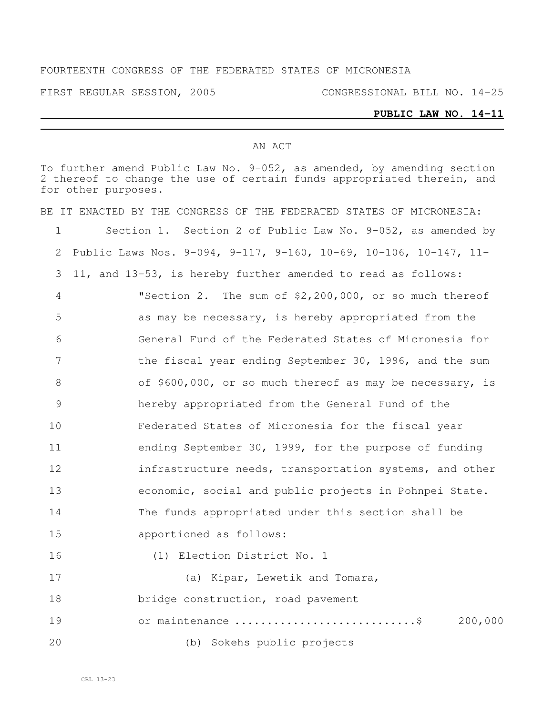#### FOURTEENTH CONGRESS OF THE FEDERATED STATES OF MICRONESIA

FIRST REGULAR SESSION, 2005 CONGRESSIONAL BILL NO. 14-25

#### **PUBLIC LAW NO. 14-11**

#### AN ACT

To further amend Public Law No. 9-052, as amended, by amending section thereof to change the use of certain funds appropriated therein, and for other purposes.

|    | BE IT ENACTED BY THE CONGRESS OF THE FEDERATED STATES OF MICRONESIA: |
|----|----------------------------------------------------------------------|
| 1  | Section 1. Section 2 of Public Law No. 9-052, as amended by          |
| 2  | Public Laws Nos. 9-094, 9-117, 9-160, 10-69, 10-106, 10-147, 11-     |
| 3  | 11, and 13-53, is hereby further amended to read as follows:         |
| 4  | "Section 2. The sum of \$2,200,000, or so much thereof               |
| 5  | as may be necessary, is hereby appropriated from the                 |
| 6  | General Fund of the Federated States of Micronesia for               |
| 7  | the fiscal year ending September 30, 1996, and the sum               |
| 8  | of \$600,000, or so much thereof as may be necessary, is             |
| 9  | hereby appropriated from the General Fund of the                     |
| 10 | Federated States of Micronesia for the fiscal year                   |
| 11 | ending September 30, 1999, for the purpose of funding                |
| 12 | infrastructure needs, transportation systems, and other              |
| 13 | economic, social and public projects in Pohnpei State.               |
| 14 | The funds appropriated under this section shall be                   |
| 15 | apportioned as follows:                                              |
| 16 | (1) Election District No. 1                                          |
| 17 | (a) Kipar, Lewetik and Tomara,                                       |
| 18 | bridge construction, road pavement                                   |
| 19 | or maintenance \$<br>200,000                                         |
| 20 | (b) Sokehs public projects                                           |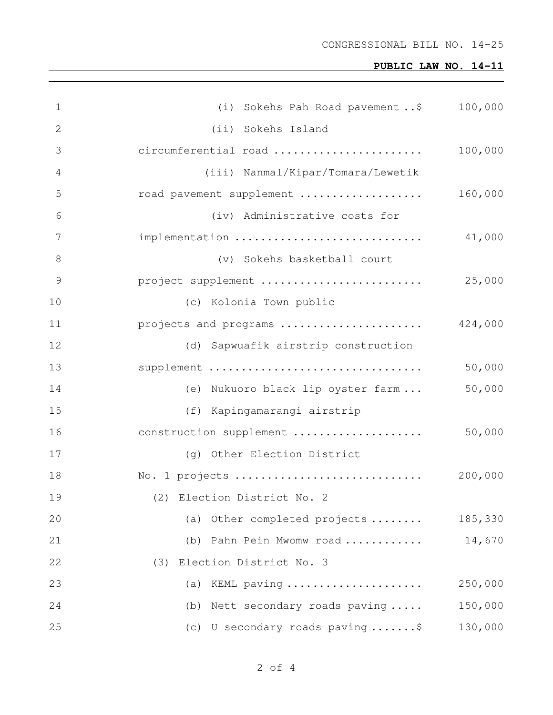# **PUBLIC LAW NO. 14-11**

| $\mathbf 1$   | (i) Sokehs Pah Road pavement  \$ 100,000 |         |
|---------------|------------------------------------------|---------|
| $\mathbf{2}$  | (ii) Sokehs Island                       |         |
| 3             | circumferential road                     | 100,000 |
| 4             | (iii) Nanmal/Kipar/Tomara/Lewetik        |         |
| 5             | road pavement supplement                 | 160,000 |
| 6             | (iv) Administrative costs for            |         |
| 7             | implementation                           | 41,000  |
| $\,8\,$       | (v) Sokehs basketball court              |         |
| $\mathcal{G}$ | project supplement                       | 25,000  |
| 10            | (c) Kolonia Town public                  |         |
| 11            | projects and programs                    | 424,000 |
| 12            | (d) Sapwuafik airstrip construction      |         |
| 13            | supplement                               | 50,000  |
| 14            | (e) Nukuoro black lip oyster farm        | 50,000  |
| 15            | (f) Kapingamarangi airstrip              |         |
| 16            | construction supplement                  | 50,000  |
| 17            | (g) Other Election District              |         |
| 18            | No. 1 projects                           | 200,000 |
| 19            | (2) Election District No. 2              |         |
| 20            | Other completed projects<br>(a)          | 185,330 |
| 21            | Pahn Pein Mwomw road<br>(b)              | 14,670  |
| 22            | Election District No. 3<br>(3)           |         |
| 23            | KEML paving<br>(a)                       | 250,000 |
| 24            | Nett secondary roads paving<br>(b)       | 150,000 |
| 25            | (c) U secondary roads paving \$          | 130,000 |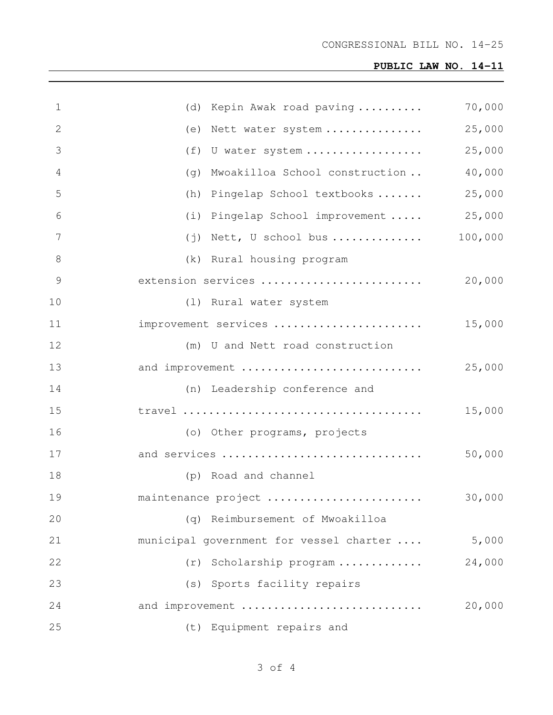# **PUBLIC LAW NO. 14-11**

| $\mathbf 1$   | (d) Kepin Awak road paving              | 70,000  |
|---------------|-----------------------------------------|---------|
| 2             | (e) Nett water system                   | 25,000  |
| 3             | (f) U water system                      | 25,000  |
| 4             | (g) Mwoakilloa School construction      | 40,000  |
| 5             | (h) Pingelap School textbooks           | 25,000  |
| 6             | (i) Pingelap School improvement         | 25,000  |
| 7             | $(j)$ Nett, U school bus                | 100,000 |
| 8             | (k) Rural housing program               |         |
| $\mathcal{G}$ | extension services                      | 20,000  |
| 10            | (1) Rural water system                  |         |
| 11            | improvement services                    | 15,000  |
| 12            | (m) U and Nett road construction        |         |
| 13            | and improvement                         | 25,000  |
| 14            | (n) Leadership conference and           |         |
| 15            |                                         | 15,000  |
| 16            | (o) Other programs, projects            |         |
| 17            | and services                            | 50,000  |
| 18            | (p) Road and channel                    |         |
| 19            | maintenance project                     | 30,000  |
| 20            | (q) Reimbursement of Mwoakilloa         |         |
| 21            | municipal government for vessel charter | 5,000   |
| 22            | (r) Scholarship program                 | 24,000  |
| 23            | (s) Sports facility repairs             |         |
| 24            | and improvement                         | 20,000  |
| 25            | (t) Equipment repairs and               |         |